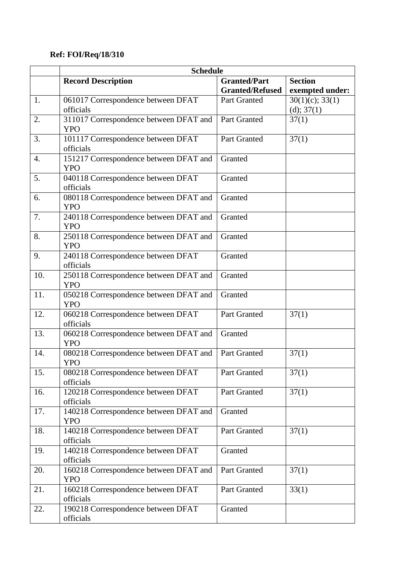## **Ref: FOI/Req/18/310**

|                  | <b>Schedule</b>                        |                        |                    |  |
|------------------|----------------------------------------|------------------------|--------------------|--|
|                  | <b>Record Description</b>              | <b>Granted/Part</b>    | <b>Section</b>     |  |
|                  |                                        | <b>Granted/Refused</b> | exempted under:    |  |
| 1.               | 061017 Correspondence between DFAT     | Part Granted           | $30(1)(c)$ ; 33(1) |  |
|                  | officials                              |                        | (d); 37(1)         |  |
| 2.               | 311017 Correspondence between DFAT and | Part Granted           | 37(1)              |  |
|                  | <b>YPO</b>                             |                        |                    |  |
| 3.               | 101117 Correspondence between DFAT     | Part Granted           | 37(1)              |  |
|                  | officials                              |                        |                    |  |
| $\overline{4}$ . | 151217 Correspondence between DFAT and | Granted                |                    |  |
|                  | <b>YPO</b>                             |                        |                    |  |
| 5.               | 040118 Correspondence between DFAT     | Granted                |                    |  |
|                  | officials                              |                        |                    |  |
| 6.               | 080118 Correspondence between DFAT and | Granted                |                    |  |
|                  | <b>YPO</b>                             |                        |                    |  |
| 7.               | 240118 Correspondence between DFAT and | Granted                |                    |  |
|                  | <b>YPO</b>                             |                        |                    |  |
| 8.               | 250118 Correspondence between DFAT and | Granted                |                    |  |
|                  | <b>YPO</b>                             |                        |                    |  |
| 9.               | 240118 Correspondence between DFAT     | Granted                |                    |  |
|                  | officials                              |                        |                    |  |
| 10.              | 250118 Correspondence between DFAT and | Granted                |                    |  |
|                  | <b>YPO</b>                             |                        |                    |  |
| 11.              | 050218 Correspondence between DFAT and | Granted                |                    |  |
|                  | <b>YPO</b>                             |                        |                    |  |
| 12.              | 060218 Correspondence between DFAT     | Part Granted           | 37(1)              |  |
|                  | officials                              |                        |                    |  |
| 13.              | 060218 Correspondence between DFAT and | Granted                |                    |  |
|                  | <b>YPO</b>                             |                        |                    |  |
| 14.              | 080218 Correspondence between DFAT and | Part Granted           | 37(1)              |  |
|                  | <b>YPO</b>                             |                        |                    |  |
| 15.              | 080218 Correspondence between DFAT     | Part Granted           | 37(1)              |  |
|                  | officials                              |                        |                    |  |
| 16.              | 120218 Correspondence between DFAT     | Part Granted           | 37(1)              |  |
|                  | officials                              |                        |                    |  |
| 17.              | 140218 Correspondence between DFAT and | Granted                |                    |  |
|                  | <b>YPO</b>                             |                        |                    |  |
| 18.              | 140218 Correspondence between DFAT     | Part Granted           | 37(1)              |  |
|                  | officials                              |                        |                    |  |
| 19.              | 140218 Correspondence between DFAT     | Granted                |                    |  |
|                  | officials                              |                        |                    |  |
| 20.              | 160218 Correspondence between DFAT and | Part Granted           | 37(1)              |  |
|                  | <b>YPO</b>                             |                        |                    |  |
| 21.              | 160218 Correspondence between DFAT     | Part Granted           | 33(1)              |  |
|                  | officials                              |                        |                    |  |
| 22.              | 190218 Correspondence between DFAT     | Granted                |                    |  |
|                  | officials                              |                        |                    |  |